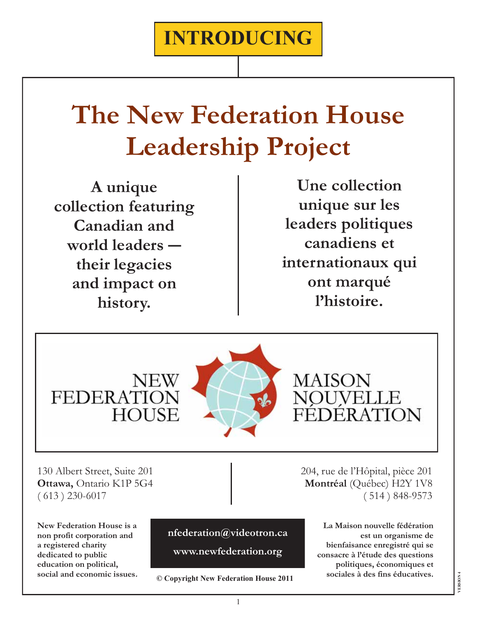# **The New Federation House Leadership Project**

**A unique collection featuring Canadian and world leaders ― their legacies and impact on history.** 

**Une collection unique sur les leaders politiques canadiens et internationaux qui ont marqué l'histoire.** 



**MAISON** NOUVELLE ÉDÉRATION

130 Albert Street, Suite 201 **Ottawa,** Ontario K1P 5G4 ( 613 ) 230-6017

**FEDERATI** 

**New Federation House is a non profit corporation and a registered charity dedicated to public education on political, social and economic issues.** 

**nfederation@videotron.ca** 

**www.newfederation.org**

**© Copyright New Federation House 2011** 

204, rue de l'Hôpital, pièce 201 **Montréal** (Québec) H2Y 1V8 ( 514 ) 848-9573

> **La Maison nouvelle fédération est un organisme de bienfaisance enregistré qui se consacre à l'étude des questions politiques, économiques et sociales à des fins éducatives.**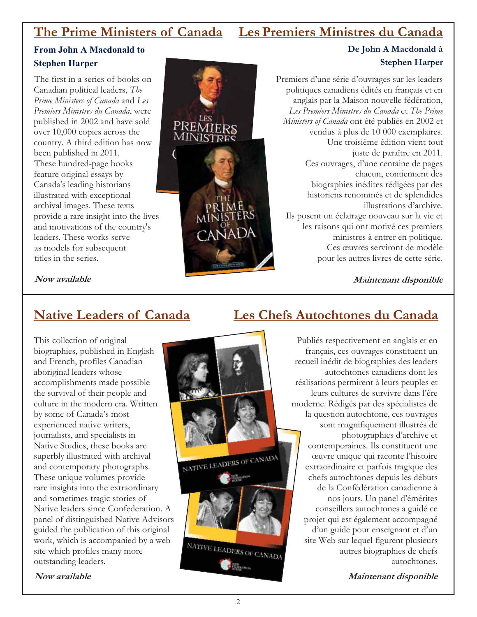## **The Prime Ministers of Canada Les Premiers Ministres du Canada**

### **From John A Macdonald to Stephen Harper**

The first in a series of books on Canadian political leaders, *The Prime Ministers of Canada* and *Les Premiers Ministres du Canada*, were published in 2002 and have sold over 10,000 copies across the country. A third edition has now been published in 2011. These hundred-page books feature original essays by Canada's leading historians illustrated with exceptional archival images. These texts provide a rare insight into the lives and motivations of the country's leaders. These works serve as models for subsequent titles in the series.



### **De John A Macdonald à Stephen Harper**

Premiers d'une série d'ouvrages sur les leaders politiques canadiens édités en français et en anglais par la Maison nouvelle fédération, *Les Premiers Ministres du Canada* et *The Prime Ministers of Canada* ont été publiés en 2002 et vendus à plus de 10 000 exemplaires. Une troisième édition vient tout juste de paraître en 2011. Ces ouvrages, d'une centaine de pages chacun, contiennent des biographies inédites rédigées par des historiens renommés et de splendides illustrations d'archive. Ils posent un éclairage nouveau sur la vie et les raisons qui ont motivé ces premiers ministres à entrer en politique. Ces œuvres serviront de modèle pour les autres livres de cette série.

**Maintenant disponible**

### **Now available**

### **Native Leaders of Canada**

This collection of original biographies, published in English and French, profiles Canadian aboriginal leaders whose accomplishments made possible the survival of their people and culture in the modern era. Written by some of Canada's most experienced native writers, journalists, and specialists in Native Studies, these books are superbly illustrated with archival and contemporary photographs. These unique volumes provide rare insights into the extraordinary and sometimes tragic stories of Native leaders since Confederation. A panel of distinguished Native Advisors guided the publication of this original work, which is accompanied by a web site which profiles many more outstanding leaders.



## **Les Chefs Autochtones du Canada**

Publiés respectivement en anglais et en français, ces ouvrages constituent un recueil inédit de biographies des leaders autochtones canadiens dont les réalisations permirent à leurs peuples et leurs cultures de survivre dans l'ère moderne. Rédigés par des spécialistes de la question autochtone, ces ouvrages sont magnifiquement illustrés de photographies d'archive et contemporaines. Ils constituent une œuvre unique qui raconte l'histoire extraordinaire et parfois tragique des chefs autochtones depuis les débuts de la Confédération canadienne à nos jours. Un panel d'émérites conseillers autochtones a guidé ce projet qui est également accompagné d'un guide pour enseignant et d'un site Web sur lequel figurent plusieurs autres biographies de chefs autochtones.

**Maintenant disponible**

**Now available**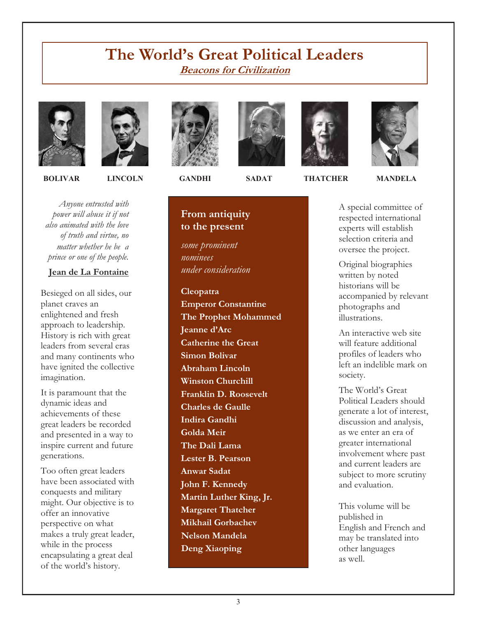## **The World's Great Political Leaders Beacons for Civilization**





*Anyone entrusted with power will abuse it if not also animated with the love of truth and virtue, no matter whether he be a prince or one of the people.* 

#### **Jean de La Fontaine**

Besieged on all sides, our planet craves an enlightened and fresh approach to leadership. History is rich with great leaders from several eras and many continents who have ignited the collective imagination.

It is paramount that the dynamic ideas and achievements of these great leaders be recorded and presented in a way to inspire current and future generations.

Too often great leaders have been associated with conquests and military might. Our objective is to offer an innovative perspective on what makes a truly great leader, while in the process encapsulating a great deal of the world's history.









A special committee of respected international experts will establish selection criteria and oversee the project.

Original biographies written by noted historians will be accompanied by relevant photographs and illustrations.

An interactive web site will feature additional profiles of leaders who left an indelible mark on society.

The World's Great Political Leaders should generate a lot of interest, discussion and analysis, as we enter an era of greater international involvement where past and current leaders are subject to more scrutiny and evaluation.

This volume will be published in English and French and may be translated into other languages as well.

## *under consideration*

**From antiquity to the present** 

*some prominent* 

*nominees* 

**Cleopatra Emperor Constantine The Prophet Mohammed Jeanne d'Arc Catherine the Great Simon Bolivar Abraham Lincoln Winston Churchill Franklin D. Roosevelt Charles de Gaulle Indira Gandhi Golda Meir The Dali Lama Lester B. Pearson Anwar Sadat John F. Kennedy Martin Luther King, Jr. Margaret Thatcher Mikhail Gorbachev Nelson Mandela Deng Xiaoping**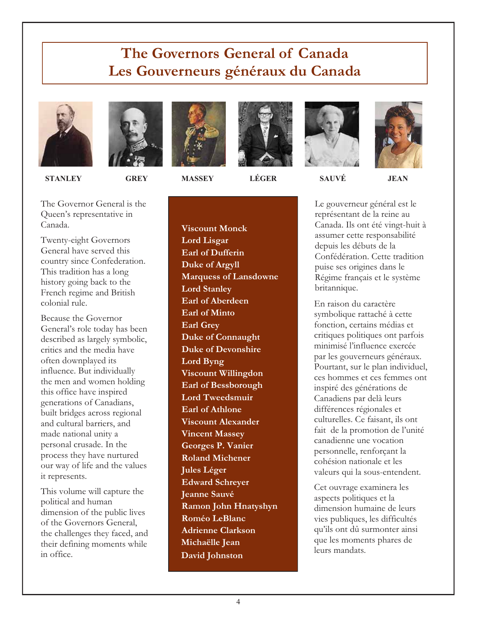## **The Governors General of Canada Les Gouverneurs généraux du Canada**



 **STANLEY GREY MASSEY LÉGER SAUVÉ JEAN** 







The Governor General is the Queen's representative in Canada.

Twenty-eight Governors General have served this country since Confederation. This tradition has a long history going back to the French regime and British colonial rule.

Because the Governor General's role today has been described as largely symbolic, critics and the media have often downplayed its influence. But individually the men and women holding this office have inspired generations of Canadians, built bridges across regional and cultural barriers, and made national unity a personal crusade. In the process they have nurtured our way of life and the values it represents.

This volume will capture the political and human dimension of the public lives of the Governors General, the challenges they faced, and their defining moments while in office.

**Viscount Monck Lord Lisgar Earl of Dufferin Duke of Argyll Marquess of Lansdowne Lord Stanley Earl of Aberdeen Earl of Minto Earl Grey Duke of Connaught Duke of Devonshire Lord Byng Viscount Willingdon Earl of Bessborough Lord Tweedsmuir Earl of Athlone Viscount Alexander Vincent Massey Georges P. Vanier Roland Michener Jules Léger Edward Schreyer Jeanne Sauvé Ramon John Hnatyshyn Roméo LeBlanc Adrienne Clarkson Michaëlle Jean David Johnston** 

Le gouverneur général est le représentant de la reine au Canada. Ils ont été vingt-huit à assumer cette responsabilité depuis les débuts de la Confédération. Cette tradition puise ses origines dans le Régime français et le système britannique.

En raison du caractère symbolique rattaché à cette fonction, certains médias et critiques politiques ont parfois minimisé l'influence exercée par les gouverneurs généraux. Pourtant, sur le plan individuel, ces hommes et ces femmes ont inspiré des générations de Canadiens par delà leurs différences régionales et culturelles. Ce faisant, ils ont fait de la promotion de l'unité canadienne une vocation personnelle, renforçant la cohésion nationale et les valeurs qui la sous-entendent.

Cet ouvrage examinera les aspects politiques et la dimension humaine de leurs vies publiques, les difficultés qu'ils ont dû surmonter ainsi que les moments phares de leurs mandats.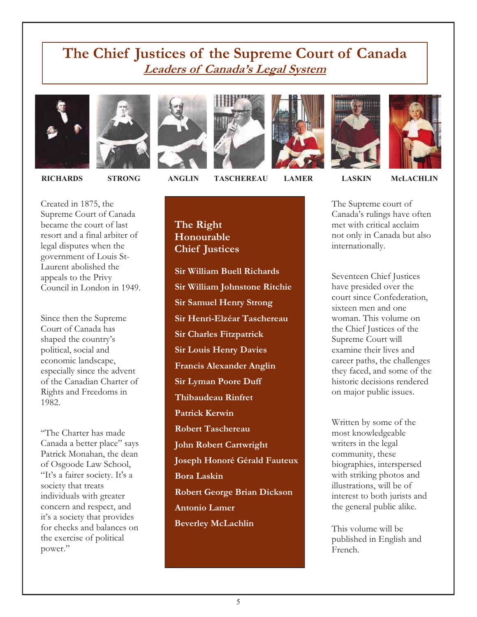## **The Chief Justices of the Supreme Court of Canada Leaders of Canada's Legal System**















Created in 1875, the Supreme Court of Canada became the court of last resort and a final arbiter of legal disputes when the government of Louis St-Laurent abolished the appeals to the Privy Council in London in 1949.

Since then the Supreme Court of Canada has shaped the country's political, social and economic landscape, especially since the advent of the Canadian Charter of Rights and Freedoms in 1982.

"The Charter has made Canada a better place" says Patrick Monahan, the dean of Osgoode Law School, "It's a fairer society. It's a society that treats individuals with greater concern and respect, and it's a society that provides for checks and balances on the exercise of political power."

 **RICHARDS STRONG ANGLIN TASCHEREAU LAMER LASKIN McLACHLIN** 

The Supreme court of Canada's rulings have often met with critical acclaim not only in Canada but also internationally.

Seventeen Chief Justices have presided over the court since Confederation, sixteen men and one woman. This volume on the Chief Justices of the Supreme Court will examine their lives and career paths, the challenges they faced, and some of the historic decisions rendered on major public issues.

Written by some of the most knowledgeable writers in the legal community, these biographies, interspersed with striking photos and illustrations, will be of interest to both jurists and the general public alike.

This volume will be published in English and French.

### **The Right Honourable Chief Justices**

**Sir William Buell Richards Sir William Johnstone Ritchie Sir Samuel Henry Strong Sir Henri-Elzéar Taschereau Sir Charles Fitzpatrick Sir Louis Henry Davies Francis Alexander Anglin Sir Lyman Poore Duff Thibaudeau Rinfret Patrick Kerwin Robert Taschereau John Robert Cartwright Joseph Honoré Gérald Fauteux Bora Laskin Robert George Brian Dickson Antonio Lamer Beverley McLachlin**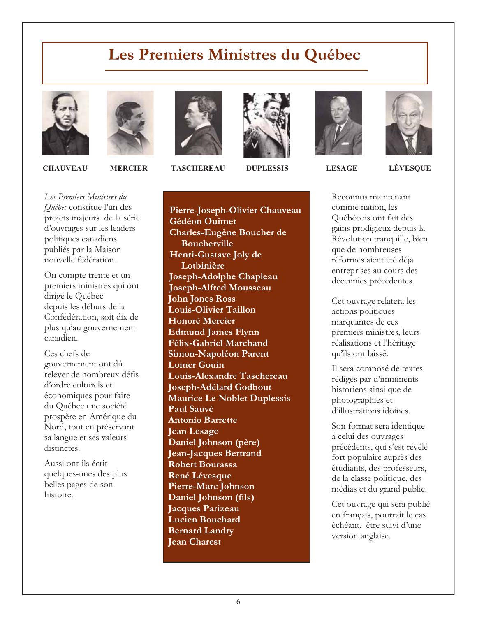## **Les Premiers Ministres du Québec**







On compte trente et un premiers ministres qui ont dirigé le Québec depuis les débuts de la Confédération, soit dix de plus qu'au gouvernement canadien.

Ces chefs de gouvernement ont dû relever de nombreux défis d'ordre culturels et économiques pour faire du Québec une société prospère en Amérique du Nord, tout en préservant sa langue et ses valeurs distinctes.

Aussi ont-ils écrit quelques-unes des plus belles pages de son histoire.



 **CHAUVEAU MERCIER TASCHEREAU DUPLESSIS LESAGE LÉVESQUE** 



**Pierre-Joseph-Olivier Chauveau Gédéon Ouimet Charles-Eugène Boucher de Boucherville Henri-Gustave Joly de Lotbinière Joseph-Adolphe Chapleau Joseph-Alfred Mousseau John Jones Ross Louis-Olivier Taillon Honoré Mercier Edmund James Flynn Félix-Gabriel Marchand Simon-Napoléon Parent Lomer Gouin Louis-Alexandre Taschereau Joseph-Adélard Godbout Maurice Le Noblet Duplessis Paul Sauvé Antonio Barrette Jean Lesage Daniel Johnson (père) Jean-Jacques Bertrand Robert Bourassa René Lévesque Pierre-Marc Johnson Daniel Johnson (fils) Jacques Parizeau Lucien Bouchard Bernard Landry Jean Charest** 

Reconnus maintenant comme nation, les Québécois ont fait des gains prodigieux depuis la Révolution tranquille, bien que de nombreuses réformes aient été déjà entreprises au cours des décennies précédentes.

Cet ouvrage relatera les actions politiques marquantes de ces premiers ministres, leurs réalisations et l'héritage qu'ils ont laissé.

Il sera composé de textes rédigés par d'imminents historiens ainsi que de photographies et d'illustrations idoines.

Son format sera identique à celui des ouvrages précédents, qui s'est révélé fort populaire auprès des étudiants, des professeurs, de la classe politique, des médias et du grand public.

Cet ouvrage qui sera publié en français, pourrait le cas échéant, être suivi d'une version anglaise.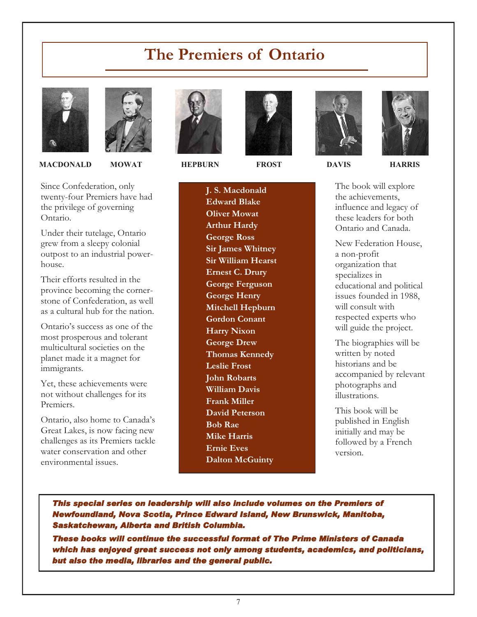## **The Premiers of Ontario**



 **MACDONALD MOWAT HEPBURN FROST DAVIS HARRIS** 

Since Confederation, only twenty-four Premiers have had the privilege of governing Ontario.

Under their tutelage, Ontario grew from a sleepy colonial outpost to an industrial powerhouse.

Their efforts resulted in the province becoming the cornerstone of Confederation, as well as a cultural hub for the nation.

Ontario's success as one of the most prosperous and tolerant multicultural societies on the planet made it a magnet for immigrants.

Yet, these achievements were not without challenges for its Premiers.

Ontario, also home to Canada's Great Lakes, is now facing new challenges as its Premiers tackle water conservation and other environmental issues.





**J. S. Macdonald Edward Blake Oliver Mowat Arthur Hardy George Ross Sir James Whitney Sir William Hearst Ernest C. Drury George Ferguson George Henry Mitchell Hepburn Gordon Conant Harry Nixon George Drew Thomas Kennedy Leslie Frost John Robarts William Davis Frank Miller David Peterson Bob Rae Mike Harris Ernie Eves Dalton McGuinty**



The book will explore the achievements, influence and legacy of these leaders for both Ontario and Canada.

New Federation House, a non-profit organization that specializes in educational and political issues founded in 1988, will consult with respected experts who will guide the project.

The biographies will be written by noted historians and be accompanied by relevant photographs and illustrations.

This book will be published in English initially and may be followed by a French version.

*This special series on leadership will also include volumes on the Premiers of Newfoundland, Nova Scotia, Prince Edward Island, New Brunswick, Manitoba, Saskatchewan, Alberta and British Columbia.* 

*These books will continue the successful format of The Prime Ministers of Canada which has enjoyed great success not only among students, academics, and politicians, but also the media, libraries and the general public.*